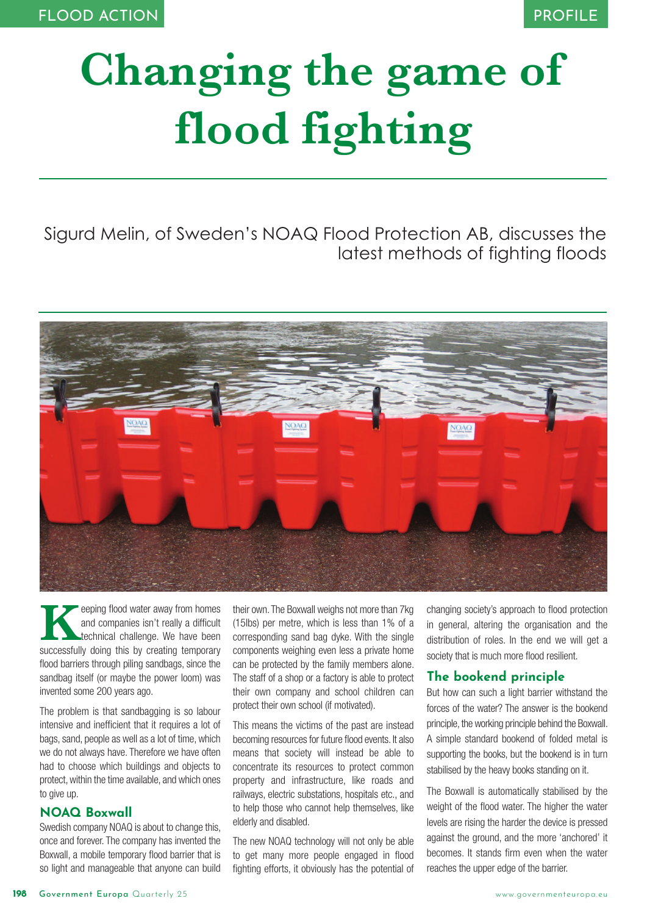# **Changing the game of flood fighting**

Sigurd Melin, of Sweden's NOAQ Flood Protection AB, discusses the latest methods of fighting floods



**Keeping flood water away from homes**<br>
and companies isn't really a difficult<br>
technical challenge. We have been<br>
successfully doing this by creating temporary and companies isn't really a difficult technical challenge. We have been flood barriers through piling sandbags, since the sandbag itself (or maybe the power loom) was invented some 200 years ago.

The problem is that sandbagging is so labour intensive and inefficient that it requires a lot of bags, sand, people as well as a lot of time, which we do not always have. Therefore we have often had to choose which buildings and objects to protect, within the time available, and which ones to give up.

## **NOAQ Boxwall**

Swedish company NOAQ is about to change this, once and forever. The company has invented the Boxwall, a mobile temporary flood barrier that is so light and manageable that anyone can build

their own. The Boxwall weighs not more than 7kg (15lbs) per metre, which is less than 1% of a corresponding sand bag dyke. With the single components weighing even less a private home can be protected by the family members alone. The staff of a shop or a factory is able to protect their own company and school children can protect their own school (if motivated).

This means the victims of the past are instead becoming resources for future flood events. It also means that society will instead be able to concentrate its resources to protect common property and infrastructure, like roads and railways, electric substations, hospitals etc., and to help those who cannot help themselves, like elderly and disabled.

The new NOAQ technology will not only be able to get many more people engaged in flood fighting efforts, it obviously has the potential of

changing society's approach to flood protection in general, altering the organisation and the distribution of roles. In the end we will get a society that is much more flood resilient.

# **The bookend principle**

But how can such a light barrier withstand the forces of the water? The answer is the bookend principle, the working principle behind the Boxwall. A simple standard bookend of folded metal is supporting the books, but the bookend is in turn stabilised by the heavy books standing on it.

The Boxwall is automatically stabilised by the weight of the flood water. The higher the water levels are rising the harder the device is pressed against the ground, and the more 'anchored' it becomes. It stands firm even when the water reaches the upper edge of the barrier.